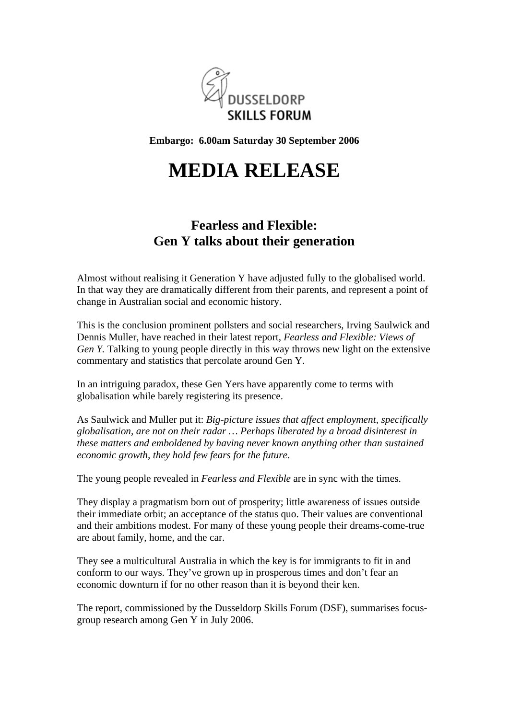

**Embargo: 6.00am Saturday 30 September 2006**

## **MEDIA RELEASE**

## **Fearless and Flexible: Gen Y talks about their generation**

Almost without realising it Generation Y have adjusted fully to the globalised world. In that way they are dramatically different from their parents, and represent a point of change in Australian social and economic history.

This is the conclusion prominent pollsters and social researchers, Irving Saulwick and Dennis Muller, have reached in their latest report, *Fearless and Flexible: Views of Gen Y.* Talking to young people directly in this way throws new light on the extensive commentary and statistics that percolate around Gen Y.

In an intriguing paradox, these Gen Yers have apparently come to terms with globalisation while barely registering its presence.

As Saulwick and Muller put it: *Big-picture issues that affect employment, specifically globalisation, are not on their radar … Perhaps liberated by a broad disinterest in these matters and emboldened by having never known anything other than sustained economic growth, they hold few fears for the future*.

The young people revealed in *Fearless and Flexible* are in sync with the times.

They display a pragmatism born out of prosperity; little awareness of issues outside their immediate orbit; an acceptance of the status quo. Their values are conventional and their ambitions modest. For many of these young people their dreams-come-true are about family, home, and the car.

They see a multicultural Australia in which the key is for immigrants to fit in and conform to our ways. They've grown up in prosperous times and don't fear an economic downturn if for no other reason than it is beyond their ken.

The report, commissioned by the Dusseldorp Skills Forum (DSF), summarises focusgroup research among Gen Y in July 2006.